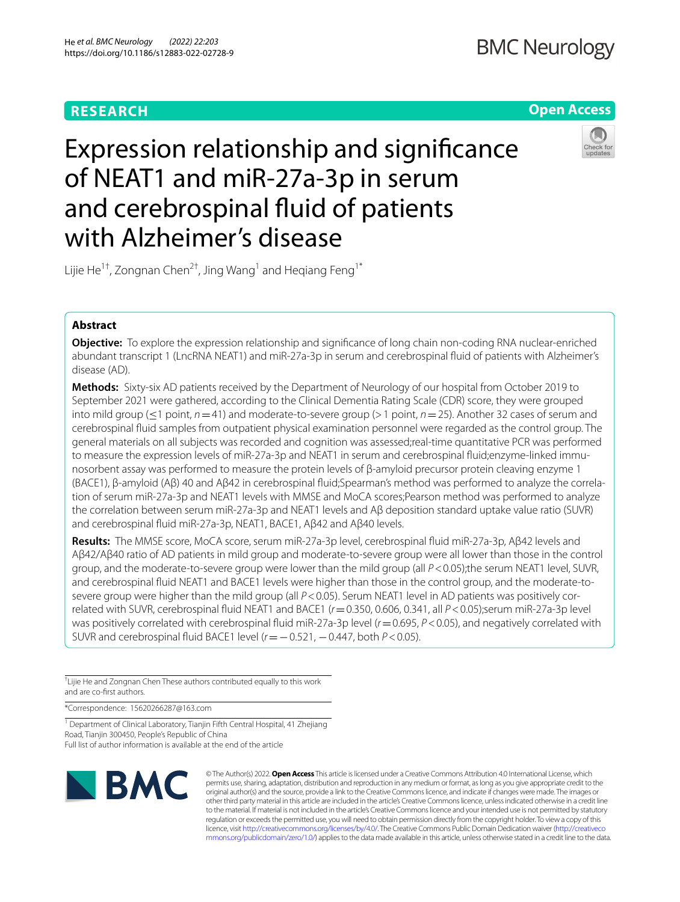# **RESEARCH**

## **Open Access**

# Expression relationship and signifcance of NEAT1 and miR-27a-3p in serum and cerebrospinal fuid of patients with Alzheimer's disease



Lijie He<sup>1†</sup>, Zongnan Chen<sup>2†</sup>, Jing Wang<sup>1</sup> and Heqiang Feng<sup>1\*</sup>

## **Abstract**

**Objective:** To explore the expression relationship and signifcance of long chain non-coding RNA nuclear-enriched abundant transcript 1 (LncRNA NEAT1) and miR-27a-3p in serum and cerebrospinal fuid of patients with Alzheimer's disease (AD).

**Methods:** Sixty-six AD patients received by the Department of Neurology of our hospital from October 2019 to September 2021 were gathered, according to the Clinical Dementia Rating Scale (CDR) score, they were grouped into mild group (≤1 point, *n*=41) and moderate-to-severe group (>1 point, *n*=25). Another 32 cases of serum and cerebrospinal fuid samples from outpatient physical examination personnel were regarded as the control group. The general materials on all subjects was recorded and cognition was assessed;real-time quantitative PCR was performed to measure the expression levels of miR-27a-3p and NEAT1 in serum and cerebrospinal fluid;enzyme-linked immunosorbent assay was performed to measure the protein levels of β-amyloid precursor protein cleaving enzyme 1 (BACE1), β-amyloid (Aβ) 40 and Aβ42 in cerebrospinal fuid;Spearman's method was performed to analyze the correlation of serum miR-27a-3p and NEAT1 levels with MMSE and MoCA scores;Pearson method was performed to analyze the correlation between serum miR-27a-3p and NEAT1 levels and Aβ deposition standard uptake value ratio (SUVR) and cerebrospinal fuid miR-27a-3p, NEAT1, BACE1, Aβ42 and Aβ40 levels.

**Results:** The MMSE score, MoCA score, serum miR-27a-3p level, cerebrospinal fuid miR-27a-3p, Aβ42 levels and Aβ42/Aβ40 ratio of AD patients in mild group and moderate-to-severe group were all lower than those in the control group, and the moderate-to-severe group were lower than the mild group (all *P*<0.05);the serum NEAT1 level, SUVR, and cerebrospinal fuid NEAT1 and BACE1 levels were higher than those in the control group, and the moderate-tosevere group were higher than the mild group (all  $P < 0.05$ ). Serum NEAT1 level in AD patients was positively correlated with SUVR, cerebrospinal fuid NEAT1 and BACE1 (*r*=0.350, 0.606, 0.341, all *P*<0.05);serum miR-27a-3p level was positively correlated with cerebrospinal fuid miR-27a-3p level (*r*=0.695, *P*<0.05), and negatively correlated with SUVR and cerebrospinal fuid BACE1 level (*r*=−0.521, −0.447, both *P*<0.05).

† Lijie He and Zongnan Chen These authors contributed equally to this work and are co-frst authors.

\*Correspondence: 15620266287@163.com

<sup>1</sup> Department of Clinical Laboratory, Tianjin Fifth Central Hospital, 41 Zhejiang Road, Tianjin 300450, People's Republic of China Full list of author information is available at the end of the article



© The Author(s) 2022. **Open Access** This article is licensed under a Creative Commons Attribution 4.0 International License, which permits use, sharing, adaptation, distribution and reproduction in any medium or format, as long as you give appropriate credit to the original author(s) and the source, provide a link to the Creative Commons licence, and indicate if changes were made. The images or other third party material in this article are included in the article's Creative Commons licence, unless indicated otherwise in a credit line to the material. If material is not included in the article's Creative Commons licence and your intended use is not permitted by statutory regulation or exceeds the permitted use, you will need to obtain permission directly from the copyright holder. To view a copy of this licence, visit [http://creativecommons.org/licenses/by/4.0/.](http://creativecommons.org/licenses/by/4.0/) The Creative Commons Public Domain Dedication waiver ([http://creativeco](http://creativecommons.org/publicdomain/zero/1.0/) [mmons.org/publicdomain/zero/1.0/](http://creativecommons.org/publicdomain/zero/1.0/)) applies to the data made available in this article, unless otherwise stated in a credit line to the data.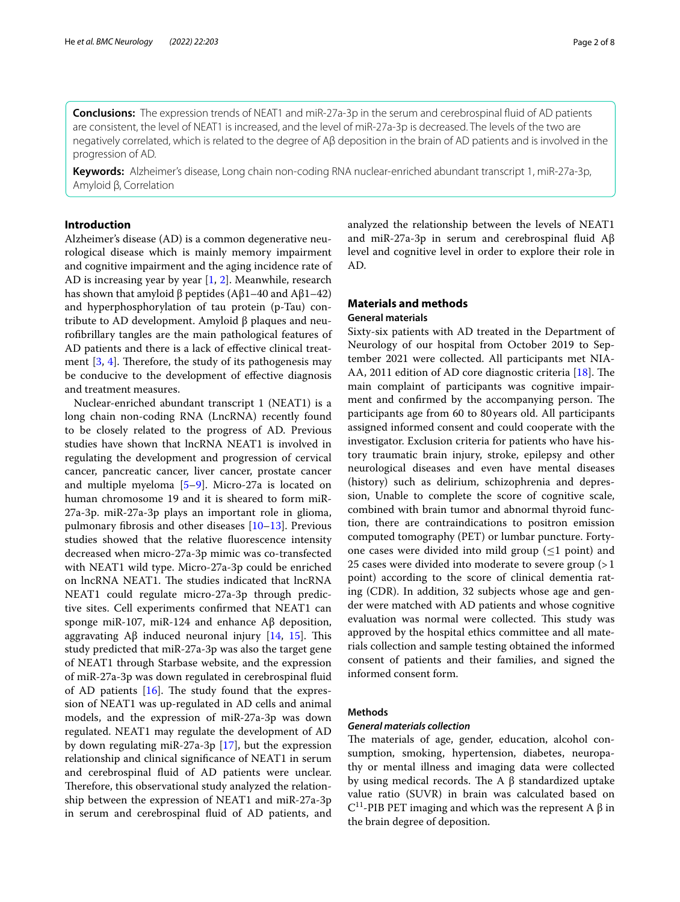**Conclusions:** The expression trends of NEAT1 and miR-27a-3p in the serum and cerebrospinal fuid of AD patients are consistent, the level of NEAT1 is increased, and the level of miR-27a-3p is decreased. The levels of the two are negatively correlated, which is related to the degree of Aβ deposition in the brain of AD patients and is involved in the progression of AD.

**Keywords:** Alzheimer's disease, Long chain non-coding RNA nuclear-enriched abundant transcript 1, miR-27a-3p, Amyloid β, Correlation

## **Introduction**

Alzheimer's disease (AD) is a common degenerative neurological disease which is mainly memory impairment and cognitive impairment and the aging incidence rate of AD is increasing year by year [[1,](#page-6-0) [2\]](#page-6-1). Meanwhile, research has shown that amyloid β peptides (Aβ1–40 and Aβ1–42) and hyperphosphorylation of tau protein (p-Tau) contribute to AD development. Amyloid β plaques and neurofbrillary tangles are the main pathological features of AD patients and there is a lack of efective clinical treatment  $[3, 4]$  $[3, 4]$  $[3, 4]$  $[3, 4]$ . Therefore, the study of its pathogenesis may be conducive to the development of efective diagnosis and treatment measures.

Nuclear-enriched abundant transcript 1 (NEAT1) is a long chain non-coding RNA (LncRNA) recently found to be closely related to the progress of AD. Previous studies have shown that lncRNA NEAT1 is involved in regulating the development and progression of cervical cancer, pancreatic cancer, liver cancer, prostate cancer and multiple myeloma [[5–](#page-7-2)[9](#page-7-3)]. Micro-27a is located on human chromosome 19 and it is sheared to form miR-27a-3p. miR-27a-3p plays an important role in glioma, pulmonary fbrosis and other diseases [[10–](#page-7-4)[13](#page-7-5)]. Previous studies showed that the relative fuorescence intensity decreased when micro-27a-3p mimic was co-transfected with NEAT1 wild type. Micro-27a-3p could be enriched on lncRNA NEAT1. The studies indicated that lncRNA NEAT1 could regulate micro-27a-3p through predictive sites. Cell experiments confrmed that NEAT1 can sponge miR-107, miR-124 and enhance Aβ deposition, aggravating Aβ induced neuronal injury  $[14, 15]$  $[14, 15]$  $[14, 15]$  $[14, 15]$ . This study predicted that miR-27a-3p was also the target gene of NEAT1 through Starbase website, and the expression of miR-27a-3p was down regulated in cerebrospinal fuid of AD patients  $[16]$  $[16]$ . The study found that the expression of NEAT1 was up-regulated in AD cells and animal models, and the expression of miR-27a-3p was down regulated. NEAT1 may regulate the development of AD by down regulating miR-27a-3p [\[17](#page-7-9)], but the expression relationship and clinical signifcance of NEAT1 in serum and cerebrospinal fuid of AD patients were unclear. Therefore, this observational study analyzed the relationship between the expression of NEAT1 and miR-27a-3p in serum and cerebrospinal fuid of AD patients, and analyzed the relationship between the levels of NEAT1 and miR-27a-3p in serum and cerebrospinal fuid Aβ level and cognitive level in order to explore their role in AD.

## **Materials and methods**

### **General materials**

Sixty-six patients with AD treated in the Department of Neurology of our hospital from October 2019 to September 2021 were collected. All participants met NIA-AA, 2011 edition of AD core diagnostic criteria [\[18](#page-7-10)]. The main complaint of participants was cognitive impairment and confirmed by the accompanying person. The participants age from 60 to 80years old. All participants assigned informed consent and could cooperate with the investigator. Exclusion criteria for patients who have history traumatic brain injury, stroke, epilepsy and other neurological diseases and even have mental diseases (history) such as delirium, schizophrenia and depression, Unable to complete the score of cognitive scale, combined with brain tumor and abnormal thyroid function, there are contraindications to positron emission computed tomography (PET) or lumbar puncture. Fortyone cases were divided into mild group  $(\leq 1 \text{ point})$  and 25 cases were divided into moderate to severe group  $(>1)$ point) according to the score of clinical dementia rating (CDR). In addition, 32 subjects whose age and gender were matched with AD patients and whose cognitive evaluation was normal were collected. This study was approved by the hospital ethics committee and all materials collection and sample testing obtained the informed consent of patients and their families, and signed the informed consent form.

#### **Methods**

#### *General materials collection*

The materials of age, gender, education, alcohol consumption, smoking, hypertension, diabetes, neuropathy or mental illness and imaging data were collected by using medical records. The A  $β$  standardized uptake value ratio (SUVR) in brain was calculated based on  $C<sup>11</sup>$ -PIB PET imaging and which was the represent A β in the brain degree of deposition.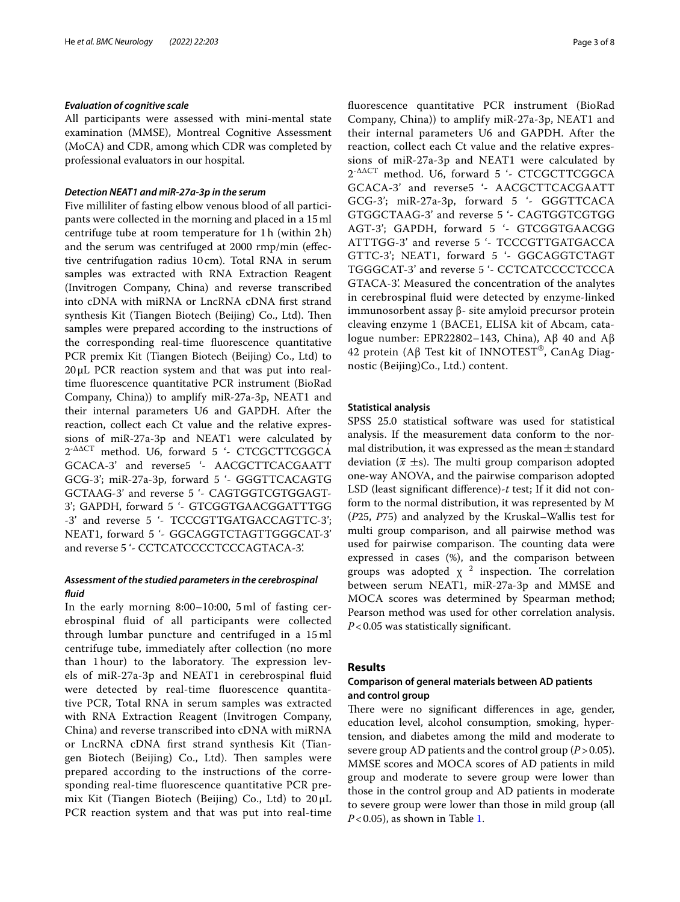#### *Evaluation of cognitive scale*

All participants were assessed with mini-mental state examination (MMSE), Montreal Cognitive Assessment (MoCA) and CDR, among which CDR was completed by professional evaluators in our hospital.

## *Detection NEAT1 and miR‑27a‑3p in the serum*

Five milliliter of fasting elbow venous blood of all participants were collected in the morning and placed in a 15ml centrifuge tube at room temperature for 1h (within 2h) and the serum was centrifuged at 2000 rmp/min (efective centrifugation radius 10cm). Total RNA in serum samples was extracted with RNA Extraction Reagent (Invitrogen Company, China) and reverse transcribed into cDNA with miRNA or LncRNA cDNA frst strand synthesis Kit (Tiangen Biotech (Beijing) Co., Ltd). Then samples were prepared according to the instructions of the corresponding real-time fuorescence quantitative PCR premix Kit (Tiangen Biotech (Beijing) Co., Ltd) to 20μL PCR reaction system and that was put into realtime fuorescence quantitative PCR instrument (BioRad Company, China)) to amplify miR-27a-3p, NEAT1 and their internal parameters U6 and GAPDH. After the reaction, collect each Ct value and the relative expressions of miR-27a-3p and NEAT1 were calculated by 2-ΔΔCT method. U6, forward 5 '- CTCGCTTCGGCA GCACA-3' and reverse5 '- AACGCTTCACGAATT GCG-3'; miR-27a-3p, forward 5 '- GGGTTCACAGTG GCTAAG-3' and reverse 5 '- CAGTGGTCGTGGAGT-3'; GAPDH, forward 5 '- GTCGGTGAACGGATTTGG -3' and reverse 5 '- TCCCGTTGATGACCAGTTC-3'; NEAT1, forward 5 '- GGCAGGTCTAGTTGGGCAT-3' and reverse 5 '- CCTCATCCCCTCCCAGTACA-3'.

## *Assessment of the studied parameters in the cerebrospinal fuid*

In the early morning 8:00–10:00, 5 ml of fasting cerebrospinal fuid of all participants were collected through lumbar puncture and centrifuged in a 15 ml centrifuge tube, immediately after collection (no more than 1 hour) to the laboratory. The expression levels of miR-27a-3p and NEAT1 in cerebrospinal fuid were detected by real-time fuorescence quantitative PCR, Total RNA in serum samples was extracted with RNA Extraction Reagent (Invitrogen Company, China) and reverse transcribed into cDNA with miRNA or LncRNA cDNA frst strand synthesis Kit (Tiangen Biotech (Beijing) Co., Ltd). Then samples were prepared according to the instructions of the corresponding real-time fuorescence quantitative PCR premix Kit (Tiangen Biotech (Beijing) Co., Ltd) to 20 μL PCR reaction system and that was put into real-time fuorescence quantitative PCR instrument (BioRad Company, China)) to amplify miR-27a-3p, NEAT1 and their internal parameters U6 and GAPDH. After the reaction, collect each Ct value and the relative expressions of miR-27a-3p and NEAT1 were calculated by 2-ΔΔCT method. U6, forward 5 '- CTCGCTTCGGCA GCACA-3' and reverse5 '- AACGCTTCACGAATT GCG-3'; miR-27a-3p, forward 5 '- GGGTTCACA GTGGCTAAG-3' and reverse 5 '- CAGTGGTCGTGG AGT-3'; GAPDH, forward 5 '- GTCGGTGAACGG ATTTGG-3' and reverse 5 '- TCCCGTTGATGACCA GTTC-3'; NEAT1, forward 5 '- GGCAGGTCTAGT TGGGCAT-3' and reverse 5 '- CCTCATCCCCTCCCA GTACA-3'. Measured the concentration of the analytes in cerebrospinal fuid were detected by enzyme-linked immunosorbent assay β- site amyloid precursor protein cleaving enzyme 1 (BACE1, ELISA kit of Abcam, catalogue number: EPR22802–143, China), Aβ 40 and Aβ 42 protein (Aβ Test kit of INNOTEST®, CanAg Diagnostic (Beijing)Co., Ltd.) content.

#### **Statistical analysis**

SPSS 25.0 statistical software was used for statistical analysis. If the measurement data conform to the normal distribution, it was expressed as the mean $\pm$ standard deviation ( $\bar{x} \pm s$ ). The multi group comparison adopted one-way ANOVA, and the pairwise comparison adopted LSD (least signifcant diference)-*t* test; If it did not conform to the normal distribution, it was represented by M (*P*25, *P*75) and analyzed by the Kruskal–Wallis test for multi group comparison, and all pairwise method was used for pairwise comparison. The counting data were expressed in cases (%), and the comparison between groups was adopted  $\chi^2$  inspection. The correlation between serum NEAT1, miR-27a-3p and MMSE and MOCA scores was determined by Spearman method; Pearson method was used for other correlation analysis. *P*<0.05 was statistically signifcant.

### **Results**

## **Comparison of general materials between AD patients and control group**

There were no significant differences in age, gender, education level, alcohol consumption, smoking, hypertension, and diabetes among the mild and moderate to severe group AD patients and the control group (*P*>0.05). MMSE scores and MOCA scores of AD patients in mild group and moderate to severe group were lower than those in the control group and AD patients in moderate to severe group were lower than those in mild group (all *P*<0.05), as shown in Table [1](#page-3-0).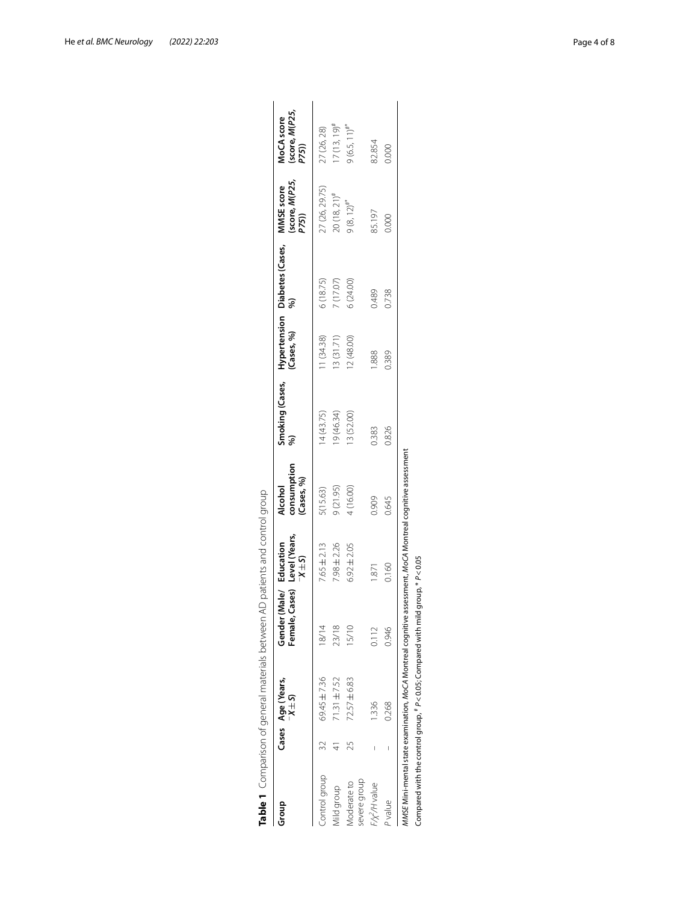| Group                       |    | Cases Age (Years,<br>$-X \pm 5$ | ases)<br>Gender (<br>Female, | Level (Years,<br>Male/ Education<br>$X \pm S$ | consumption<br>(Cases, %)<br>Alcohol | Smoking (Cases,<br>%) |           | Hypertension Diabetes (Cases,<br>(Cases, %)             %) | (score, <i>M</i> (P25,<br>P75))<br>MMSE score | (score, <i>M(P25,<br/>P75</i> ))<br>MoCA score |
|-----------------------------|----|---------------------------------|------------------------------|-----------------------------------------------|--------------------------------------|-----------------------|-----------|------------------------------------------------------------|-----------------------------------------------|------------------------------------------------|
| Control group               |    | 69.45 ±7.36                     | 18/14                        | 7.65 ± 2.13                                   | 5(15.63)                             | 14(43.75)             | 1(34.38)  | 6(18.75)                                                   | 27 (26, 29.75)                                | 27 (26, 28)                                    |
| Aild group                  |    | $71.31 \pm 7.52$                | 23/18                        | $7.98 \pm 2.26$                               | 9(21.95)                             | 9(46.34)              | 3(31.71)  | 7 (17.07)                                                  | $20(18, 21)^{\#}$                             | $17(13, 19)^{\#}$                              |
| severe group<br>Moderate to | 25 | 72.57 ± 6.83                    | 15/10                        | $6.92 \pm 2.05$                               | 4 (16.00)                            | 3 (52.00)             | 2 (48.00) | 6(24.00)                                                   | $9(8, 12)^{#}$                                | $9(6.5, 11)^{#}$                               |
| F/x <sup>2</sup> /H value   |    | 1.336                           | 0.112                        | 1.871                                         | 0.909                                | 0.383                 | .888      | 0.489                                                      | 85.197                                        | 82.854                                         |
| P value                     |    | 0.268                           | 0.946                        | 0.160                                         | 0.645                                | 0.826                 | 0.389     | 0.738                                                      | 0.000                                         | 0.000                                          |

<span id="page-3-0"></span>

|   | þ                         |
|---|---------------------------|
|   | ļ                         |
|   | ١                         |
|   | $\ddot{\phantom{a}}$      |
|   |                           |
|   | $\frac{1}{2}$<br>;        |
|   |                           |
|   | s<br>C                    |
|   |                           |
|   | $\frac{1}{2}$             |
|   |                           |
|   |                           |
|   |                           |
|   |                           |
|   |                           |
|   |                           |
|   |                           |
|   | I<br>J                    |
|   |                           |
|   | i                         |
|   |                           |
|   | ļ                         |
|   |                           |
| l | J                         |
|   |                           |
|   |                           |
|   |                           |
|   | I<br>J                    |
|   | $\ddot{\phantom{0}}$<br>! |
|   |                           |
|   |                           |
|   | $\frac{1}{2}$             |
|   |                           |
|   |                           |
|   | ì                         |
|   |                           |
|   |                           |
|   | j                         |
|   |                           |
|   |                           |
|   |                           |
|   |                           |
|   |                           |
|   |                           |
|   |                           |
|   |                           |
|   |                           |
|   |                           |
|   | J<br>١                    |
|   |                           |
|   | i<br>!                    |
|   |                           |
|   |                           |
|   |                           |
|   |                           |
|   |                           |
|   | しょうしょう                    |
|   |                           |
|   |                           |
|   |                           |
|   | ;<br>)                    |
| ţ |                           |
|   |                           |
|   | ,                         |
|   |                           |
|   | ı                         |
|   |                           |
|   | l                         |
|   | Ï                         |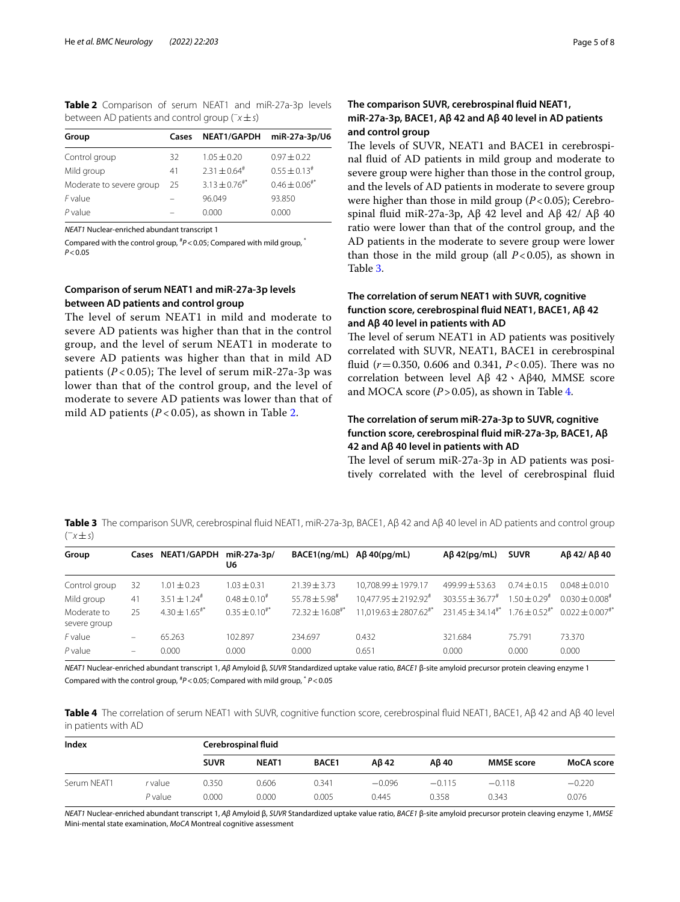<span id="page-4-0"></span>**Table 2** Comparison of serum NEAT1 and miR-27a-3p levels between AD patients and control group (*−x*±*s*)

| Group                    | Cases | <b>NEAT1/GAPDH</b>            | miR-27a-3p/U6                |
|--------------------------|-------|-------------------------------|------------------------------|
| Control group            | 32    | $1.05 \pm 0.20$               | $0.97 \pm 0.22$              |
| Mild group               | 41    | $2.31 \pm 0.64^{\text{*}}$    | $0.55 \pm 0.13$ <sup>#</sup> |
| Moderate to severe group | 25    | $3.13 \pm 0.76$ <sup>#*</sup> | $0.46 \pm 0.06$ #*           |
| F value                  |       | 96.049                        | 93.850                       |
| $P$ value                |       | 0.000                         | 0.000                        |

*NEAT1* Nuclear-enriched abundant transcript 1

Compared with the control group, # *P*<0.05; Compared with mild group, \* *P*<0.05

## **Comparison of serum NEAT1 and miR‑27a‑3p levels between AD patients and control group**

The level of serum NEAT1 in mild and moderate to severe AD patients was higher than that in the control group, and the level of serum NEAT1 in moderate to severe AD patients was higher than that in mild AD patients  $(P<0.05)$ ; The level of serum miR-27a-3p was lower than that of the control group, and the level of moderate to severe AD patients was lower than that of mild AD patients (*P* < 0.05), as shown in Table [2](#page-4-0).

## **The comparison SUVR, cerebrospinal fuid NEAT1, miR‑27a‑3p, BACE1, Aβ 42 and Aβ 40 level in AD patients and control group**

The levels of SUVR, NEAT1 and BACE1 in cerebrospinal fuid of AD patients in mild group and moderate to severe group were higher than those in the control group, and the levels of AD patients in moderate to severe group were higher than those in mild group (*P*<0.05); Cerebrospinal fuid miR-27a-3p, Aβ 42 level and Aβ 42/ Aβ 40 ratio were lower than that of the control group, and the AD patients in the moderate to severe group were lower than those in the mild group (all  $P < 0.05$ ), as shown in Table [3](#page-4-1).

## **The correlation of serum NEAT1 with SUVR, cognitive function score, cerebrospinal fuid NEAT1, BACE1, Aβ 42 and Aβ 40 level in patients with AD**

The level of serum NEAT1 in AD patients was positively correlated with SUVR, NEAT1, BACE1 in cerebrospinal fluid ( $r = 0.350$ , 0.606 and 0.341,  $P < 0.05$ ). There was no correlation between level Aβ 42、Aβ40, MMSE score and MOCA score  $(P > 0.05)$ , as shown in Table [4](#page-4-2).

## **The correlation of serum miR‑27a‑3p to SUVR, cognitive function score, cerebrospinal fuid miR‑27a‑3p, BACE1, Aβ 42 and Aβ 40 level in patients with AD**

The level of serum miR-27a-3p in AD patients was positively correlated with the level of cerebrospinal fuid

<span id="page-4-1"></span>**Table 3** The comparison SUVR, cerebrospinal fuid NEAT1, miR-27a-3p, BACE1, Aβ 42 and Aβ 40 level in AD patients and control group ( <sup>−</sup>*x*±*s*)

| Group                       |                          | Cases NEAT1/GAPDH miR-27a-3p/ | U6                   | BACE1(ng/mL)                 | $A\beta$ 40(pq/mL)                    | $A\beta$ 42(pg/mL)      | <b>SUVR</b>                   | $\beta$ 42/ A $\beta$ 40       |
|-----------------------------|--------------------------|-------------------------------|----------------------|------------------------------|---------------------------------------|-------------------------|-------------------------------|--------------------------------|
| Control group               | 32                       | $1.01 \pm 0.23$               | $1.03 \pm 0.31$      | $21.39 \pm 3.73$             | 10,708.99 ± 1979.17                   | $499.99 + 53.63$        | $0.74 \pm 0.15$               | $0.048 + 0.010$                |
| Mild group                  | 41                       | $3.51 \pm 1.24^{\#}$          | $0.48 \pm 0.10^{#}$  | $55.78 \pm 5.98^{\text{*}}$  | $10.477.95 + 2192.92^{\#}$            | $303.55 \pm 36.77^*$    | $1.50 \pm 0.29$ <sup>#</sup>  | $0.030 \pm 0.008$ <sup>#</sup> |
| Moderate to<br>severe group | 25                       | $4.30 \pm 1.65$ <sup>#*</sup> | $0.35 \pm 0.10^{#*}$ | $72.32 \pm 16.08^{\text{#}}$ | $11,019.63 \pm 2807.62$ <sup>#*</sup> | $231.45 \pm 34.14^{**}$ | $1.76 \pm 0.52$ <sup>#*</sup> | $0.022 \pm 0.007^{**}$         |
| F value                     | $\overline{\phantom{m}}$ | 65.263                        | 102.897              | 234.697                      | 0.432                                 | 321.684                 | 75.791                        | 73.370                         |
| $P$ value                   | $\overline{\phantom{m}}$ | 0.000                         | 0.000                | 0.000                        | 0.651                                 | 0.000                   | 0.000                         | 0.000                          |

*NEAT1* Nuclear-enriched abundant transcript 1, *Aβ* Amyloid β, *SUVR* Standardized uptake value ratio, *BACE1* β-site amyloid precursor protein cleaving enzyme 1 Compared with the control group, # *P*<0.05; Compared with mild group, \* *P*<0.05

<span id="page-4-2"></span>**Table 4** The correlation of serum NEAT1 with SUVR, cognitive function score, cerebrospinal fuid NEAT1, BACE1, Aβ 42 and Aβ 40 level in patients with AD

| Index       |           |             | Cerebrospinal fluid |              |          |          |                   |            |
|-------------|-----------|-------------|---------------------|--------------|----------|----------|-------------------|------------|
|             |           | <b>SUVR</b> | NEAT1               | <b>BACE1</b> | Aß 42    | Aß 40    | <b>MMSE score</b> | MoCA score |
| Serum NEAT1 | r value   | 0.350       | 0.606               | 0.341        | $-0.096$ | $-0.115$ | $-0.118$          | $-0.220$   |
|             | $P$ value | 0.000       | 0.000               | 0.005        | 0.445    | 0.358    | 0.343             | 0.076      |

*NEAT1* Nuclear-enriched abundant transcript 1, *Aβ* Amyloid β, *SUVR* Standardized uptake value ratio, *BACE1* β-site amyloid precursor protein cleaving enzyme 1, *MMSE* Mini-mental state examination, *MoCA* Montreal cognitive assessment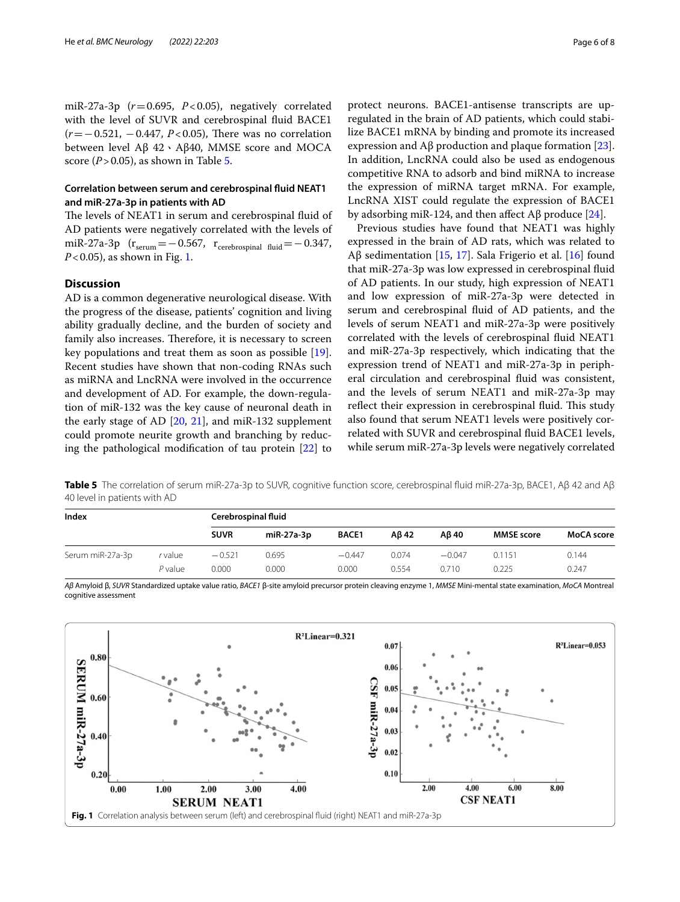miR-27a-3p (*r*=0.695, *P*<0.05), negatively correlated with the level of SUVR and cerebrospinal fuid BACE1 (*r* = −0.521, −0.447, *P* < 0.05), There was no correlation between level Aβ 42、Aβ40, MMSE score and MOCA score ( $P > 0.05$ ), as shown in Table [5](#page-5-0).

## **Correlation between serum and cerebrospinal fuid NEAT1 and miR‑27a‑3p in patients with AD**

The levels of NEAT1 in serum and cerebrospinal fluid of AD patients were negatively correlated with the levels of miR-27a-3p ( $r_{\text{serum}} =$  -0.567,  $r_{\text{cerebrospinal fluid}} =$  -0.347, *P*<0.05), as shown in Fig. [1.](#page-5-1)

## **Discussion**

AD is a common degenerative neurological disease. With the progress of the disease, patients' cognition and living ability gradually decline, and the burden of society and family also increases. Therefore, it is necessary to screen key populations and treat them as soon as possible [\[19](#page-7-11)]. Recent studies have shown that non-coding RNAs such as miRNA and LncRNA were involved in the occurrence and development of AD. For example, the down-regulation of miR-132 was the key cause of neuronal death in the early stage of AD [[20,](#page-7-12) [21](#page-7-13)], and miR-132 supplement could promote neurite growth and branching by reducing the pathological modifcation of tau protein [\[22](#page-7-14)] to

protect neurons. BACE1-antisense transcripts are upregulated in the brain of AD patients, which could stabilize BACE1 mRNA by binding and promote its increased expression and  $\text{A}\beta$  production and plaque formation [\[23](#page-7-15)]. In addition, LncRNA could also be used as endogenous competitive RNA to adsorb and bind miRNA to increase the expression of miRNA target mRNA. For example, LncRNA XIST could regulate the expression of BACE1 by adsorbing miR-124, and then affect Aβ produce [[24\]](#page-7-16).

Previous studies have found that NEAT1 was highly expressed in the brain of AD rats, which was related to Aβ sedimentation [[15](#page-7-7), [17](#page-7-9)]. Sala Frigerio et al. [[16](#page-7-8)] found that miR-27a-3p was low expressed in cerebrospinal fuid of AD patients. In our study, high expression of NEAT1 and low expression of miR-27a-3p were detected in serum and cerebrospinal fuid of AD patients, and the levels of serum NEAT1 and miR-27a-3p were positively correlated with the levels of cerebrospinal fuid NEAT1 and miR-27a-3p respectively, which indicating that the expression trend of NEAT1 and miR-27a-3p in peripheral circulation and cerebrospinal fuid was consistent, and the levels of serum NEAT1 and miR-27a-3p may reflect their expression in cerebrospinal fluid. This study also found that serum NEAT1 levels were positively correlated with SUVR and cerebrospinal fuid BACE1 levels, while serum miR-27a-3p levels were negatively correlated

<span id="page-5-0"></span>**Table 5** The correlation of serum miR-27a-3p to SUVR, cognitive function score, cerebrospinal fuid miR-27a-3p, BACE1, Aβ 42 and Aβ 40 level in patients with AD

| Index            |         |             | Cerebrospinal fluid |              |       |          |                   |            |  |  |
|------------------|---------|-------------|---------------------|--------------|-------|----------|-------------------|------------|--|--|
|                  |         | <b>SUVR</b> | miR-27a-3p          | <b>BACE1</b> | Aß 42 | Aß 40    | <b>MMSE</b> score | MoCA score |  |  |
| Serum miR-27a-3p | r value | $-0.521$    | 0.695               | $-0.447$     | 0.074 | $-0.047$ | 0.1151            | 0.144      |  |  |
|                  | P value | 0.000       | 0.000               | 0.000        | 0.554 | 0.710    | 0.225             | 0.247      |  |  |

*Aβ* Amyloid β, *SUVR* Standardized uptake value ratio, *BACE1* β-site amyloid precursor protein cleaving enzyme 1, *MMSE* Mini-mental state examination, *MoCA* Montreal cognitive assessment

<span id="page-5-1"></span>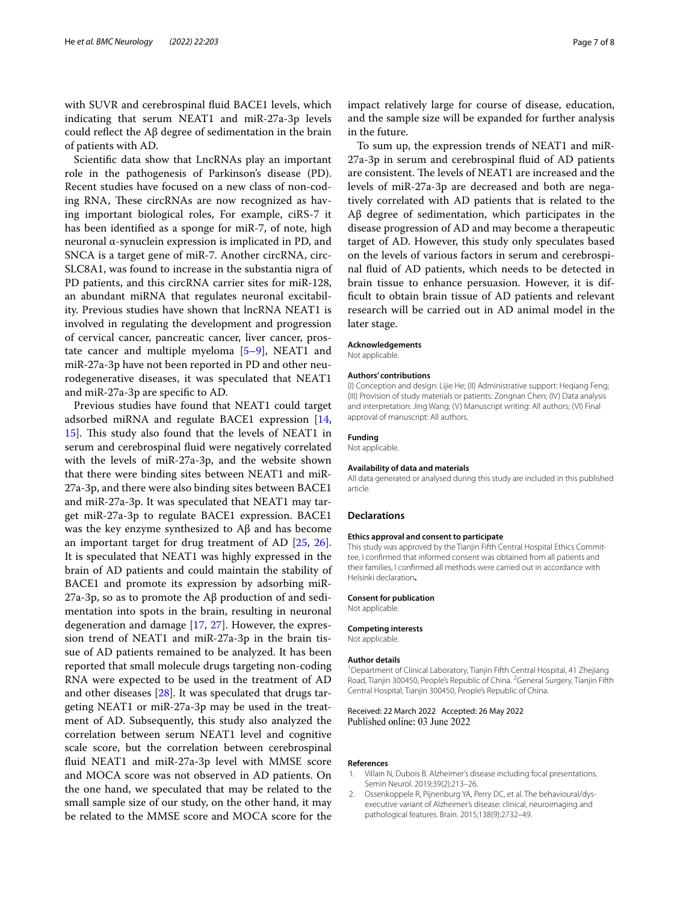with SUVR and cerebrospinal fuid BACE1 levels, which indicating that serum NEAT1 and miR-27a-3p levels could refect the Aβ degree of sedimentation in the brain of patients with AD.

Scientifc data show that LncRNAs play an important role in the pathogenesis of Parkinson's disease (PD). Recent studies have focused on a new class of non-coding RNA, These circRNAs are now recognized as having important biological roles, For example, ciRS-7 it has been identifed as a sponge for miR-7, of note, high neuronal α-synuclein expression is implicated in PD, and SNCA is a target gene of miR-7. Another circRNA, circ-SLC8A1, was found to increase in the substantia nigra of PD patients, and this circRNA carrier sites for miR-128, an abundant miRNA that regulates neuronal excitability. Previous studies have shown that lncRNA NEAT1 is involved in regulating the development and progression of cervical cancer, pancreatic cancer, liver cancer, prostate cancer and multiple myeloma [\[5](#page-7-2)[–9](#page-7-3)], NEAT1 and miR-27a-3p have not been reported in PD and other neurodegenerative diseases, it was speculated that NEAT1 and miR-27a-3p are specifc to AD.

Previous studies have found that NEAT1 could target adsorbed miRNA and regulate BACE1 expression [\[14](#page-7-6), [15\]](#page-7-7). This study also found that the levels of NEAT1 in serum and cerebrospinal fuid were negatively correlated with the levels of miR-27a-3p, and the website shown that there were binding sites between NEAT1 and miR-27a-3p, and there were also binding sites between BACE1 and miR-27a-3p. It was speculated that NEAT1 may target miR-27a-3p to regulate BACE1 expression. BACE1 was the key enzyme synthesized to Aβ and has become an important target for drug treatment of AD [\[25](#page-7-17), [26](#page-7-18)]. It is speculated that NEAT1 was highly expressed in the brain of AD patients and could maintain the stability of BACE1 and promote its expression by adsorbing miR-27a-3p, so as to promote the Aβ production of and sedimentation into spots in the brain, resulting in neuronal degeneration and damage [\[17](#page-7-9), [27](#page-7-19)]. However, the expression trend of NEAT1 and miR-27a-3p in the brain tissue of AD patients remained to be analyzed. It has been reported that small molecule drugs targeting non-coding RNA were expected to be used in the treatment of AD and other diseases [[28\]](#page-7-20). It was speculated that drugs targeting NEAT1 or miR-27a-3p may be used in the treatment of AD. Subsequently, this study also analyzed the correlation between serum NEAT1 level and cognitive scale score, but the correlation between cerebrospinal fuid NEAT1 and miR-27a-3p level with MMSE score and MOCA score was not observed in AD patients. On the one hand, we speculated that may be related to the small sample size of our study, on the other hand, it may be related to the MMSE score and MOCA score for the

impact relatively large for course of disease, education, and the sample size will be expanded for further analysis in the future.

To sum up, the expression trends of NEAT1 and miR-27a-3p in serum and cerebrospinal fuid of AD patients are consistent. The levels of NEAT1 are increased and the levels of miR-27a-3p are decreased and both are negatively correlated with AD patients that is related to the Aβ degree of sedimentation, which participates in the disease progression of AD and may become a therapeutic target of AD. However, this study only speculates based on the levels of various factors in serum and cerebrospinal fuid of AD patients, which needs to be detected in brain tissue to enhance persuasion. However, it is diffcult to obtain brain tissue of AD patients and relevant research will be carried out in AD animal model in the later stage.

#### **Acknowledgements**

Not applicable.

#### **Authors' contributions**

(I) Conception and design: Lijie He; (II) Administrative support: Heqiang Feng; (III) Provision of study materials or patients: Zongnan Chen; (IV) Data analysis and interpretation: Jing Wang; (V) Manuscript writing: All authors; (VI) Final approval of manuscript: All authors.

**Funding**

Not applicable.

#### **Availability of data and materials**

All data generated or analysed during this study are included in this published article.

#### **Declarations**

#### **Ethics approval and consent to participate**

This study was approved by the Tianjin Fifth Central Hospital Ethics Committee, I confrmed that informed consent was obtained from all patients and their families, I confrmed all methods were carried out in accordance with Helsinki declaration**.**

#### **Consent for publication**

Not applicable.

#### **Competing interests**

Not applicable.

#### **Author details**

<sup>1</sup> Department of Clinical Laboratory, Tianjin Fifth Central Hospital, 41 Zhejiang Road, Tianjin 300450, People's Republic of China. <sup>2</sup> General Surgery, Tianjin Fifth Central Hospital, Tianjin 300450, People's Republic of China.

Received: 22 March 2022 Accepted: 26 May 2022 Published online: 03 June 2022

#### **References**

- <span id="page-6-0"></span>1. Villain N, Dubois B. Alzheimer's disease including focal presentations. Semin Neurol. 2019;39(2):213–26.
- <span id="page-6-1"></span>2. Ossenkoppele R, Pijnenburg YA, Perry DC, et al. The behavioural/dysexecutive variant of Alzheimer's disease: clinical, neuroimaging and pathological features. Brain. 2015;138(9):2732–49.